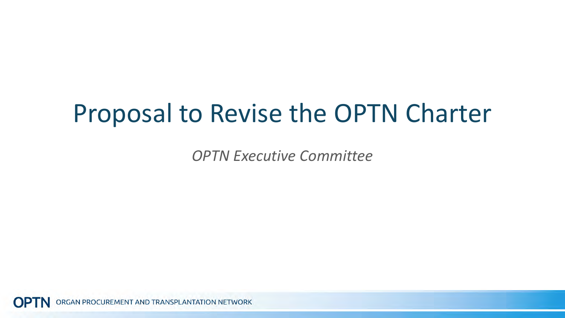## Proposal to Revise the OPTN Charter

*OPTN Executive Committee*

ORGAN PROCUREMENT AND TRANSPLANTATION NETWORK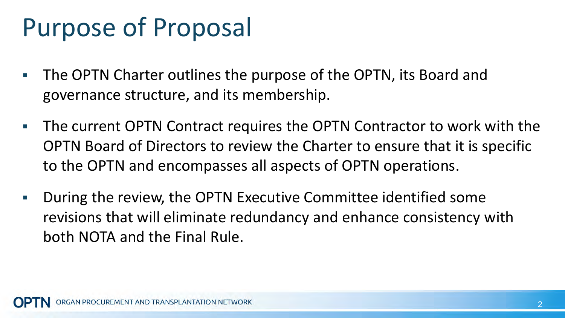## Purpose of Proposal

- The OPTN Charter outlines the purpose of the OPTN, its Board and governance structure, and its membership.
- The current OPTN Contract requires the OPTN Contractor to work with the OPTN Board of Directors to review the Charter to ensure that it is specific to the OPTN and encompasses all aspects of OPTN operations.
- During the review, the OPTN Executive Committee identified some revisions that will eliminate redundancy and enhance consistency with both NOTA and the Final Rule.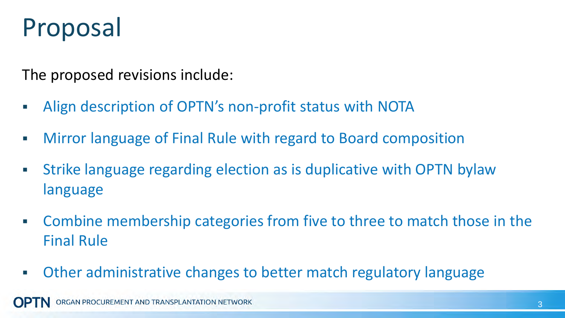## Proposal

The proposed revisions include:

- Align description of OPTN's non-profit status with NOTA
- Mirror language of Final Rule with regard to Board composition
- Strike language regarding election as is duplicative with OPTN bylaw language
- Combine membership categories from five to three to match those in the Final Rule
- Other administrative changes to better match regulatory language